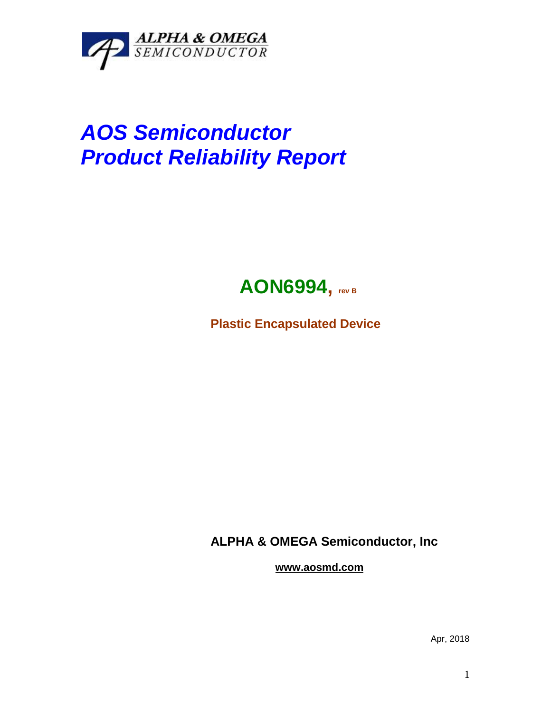

## *AOS Semiconductor Product Reliability Report*



**Plastic Encapsulated Device**

**ALPHA & OMEGA Semiconductor, Inc**

**www.aosmd.com**

Apr, 2018